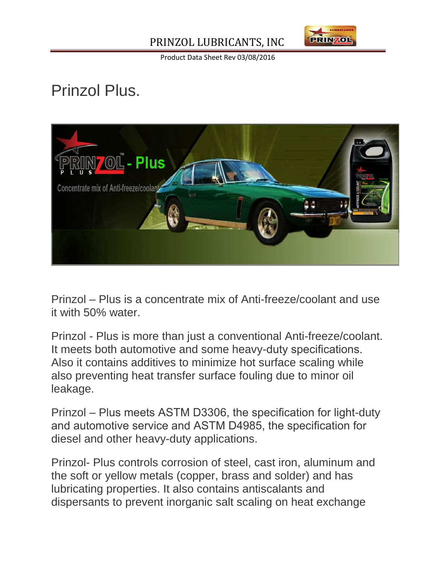## PRINZOL LUBRICANTS, INC



Product Data Sheet Rev 03/08/2016

## Prinzol Plus.



Prinzol – Plus is a concentrate mix of Anti-freeze/coolant and use it with 50% water.

Prinzol - Plus is more than just a conventional Anti-freeze/coolant. It meets both automotive and some heavy-duty specifications. Also it contains additives to minimize hot surface scaling while also preventing heat transfer surface fouling due to minor oil leakage.

Prinzol – Plus meets ASTM D3306, the specification for light-duty and automotive service and ASTM D4985, the specification for diesel and other heavy-duty applications.

Prinzol- Plus controls corrosion of steel, cast iron, aluminum and the soft or yellow metals (copper, brass and solder) and has lubricating properties. It also contains antiscalants and dispersants to prevent inorganic salt scaling on heat exchange